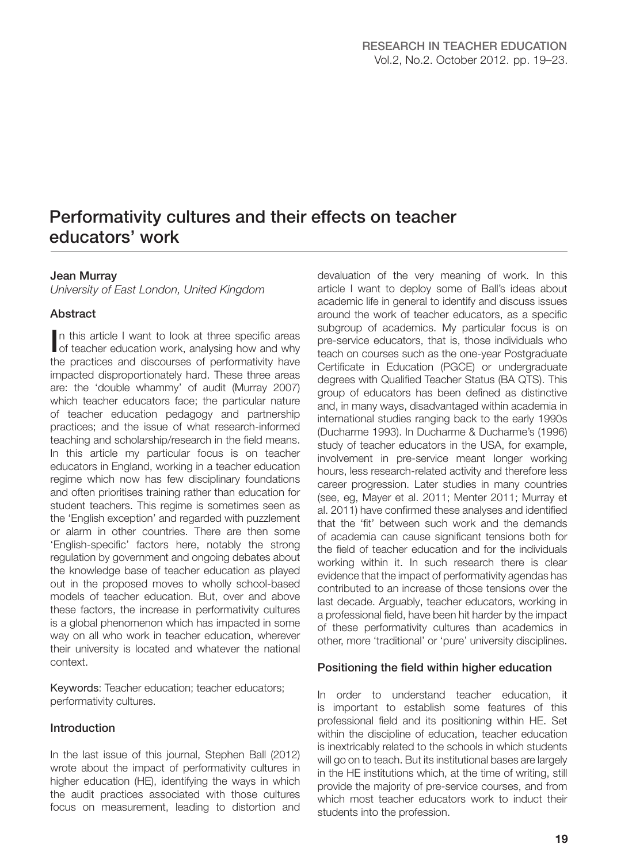# Performativity cultures and their effects on teacher educators' work

## Jean Murray

University of East London, United Kingdom

## **Abstract**

In this article I want to look at three specific areas of teacher education work, analysing how and why the practices and discourses of performativity have impacted disproportionately hard. These three areas are: the 'double whammy' of audit (Murray 2007) which teacher educators face; the particular nature of teacher education pedagogy and partnership practices; and the issue of what research-informed teaching and scholarship/research in the field means. In this article my particular focus is on teacher educators in England, working in a teacher education regime which now has few disciplinary foundations and often prioritises training rather than education for student teachers. This regime is sometimes seen as the 'English exception' and regarded with puzzlement or alarm in other countries. There are then some 'English-specific' factors here, notably the strong regulation by government and ongoing debates about the knowledge base of teacher education as played out in the proposed moves to wholly school-based models of teacher education. But, over and above these factors, the increase in performativity cultures is a global phenomenon which has impacted in some way on all who work in teacher education, wherever their university is located and whatever the national context.

Keywords: Teacher education; teacher educators; performativity cultures.

#### Introduction

In the last issue of this journal, Stephen Ball (2012) wrote about the impact of performativity cultures in higher education (HE), identifying the ways in which the audit practices associated with those cultures focus on measurement, leading to distortion and

devaluation of the very meaning of work. In this article I want to deploy some of Ball's ideas about academic life in general to identify and discuss issues around the work of teacher educators, as a specific subgroup of academics. My particular focus is on pre-service educators, that is, those individuals who teach on courses such as the one-year Postgraduate Certificate in Education (PGCE) or undergraduate degrees with Qualified Teacher Status (BA QTS). This group of educators has been defined as distinctive and, in many ways, disadvantaged within academia in international studies ranging back to the early 1990s (Ducharme 1993). In Ducharme & Ducharme's (1996) study of teacher educators in the USA, for example, involvement in pre-service meant longer working hours, less research-related activity and therefore less career progression. Later studies in many countries (see, eg, Mayer et al. 2011; Menter 2011; Murray et al. 2011) have confirmed these analyses and identified that the 'fit' between such work and the demands of academia can cause significant tensions both for the field of teacher education and for the individuals working within it. In such research there is clear evidence that the impact of performativity agendas has contributed to an increase of those tensions over the last decade. Arguably, teacher educators, working in a professional field, have been hit harder by the impact of these performativity cultures than academics in other, more 'traditional' or 'pure' university disciplines.

#### Positioning the field within higher education

In order to understand teacher education, it is important to establish some features of this professional field and its positioning within HE. Set within the discipline of education, teacher education is inextricably related to the schools in which students will go on to teach. But its institutional bases are largely in the HE institutions which, at the time of writing, still provide the majority of pre-service courses, and from which most teacher educators work to induct their students into the profession.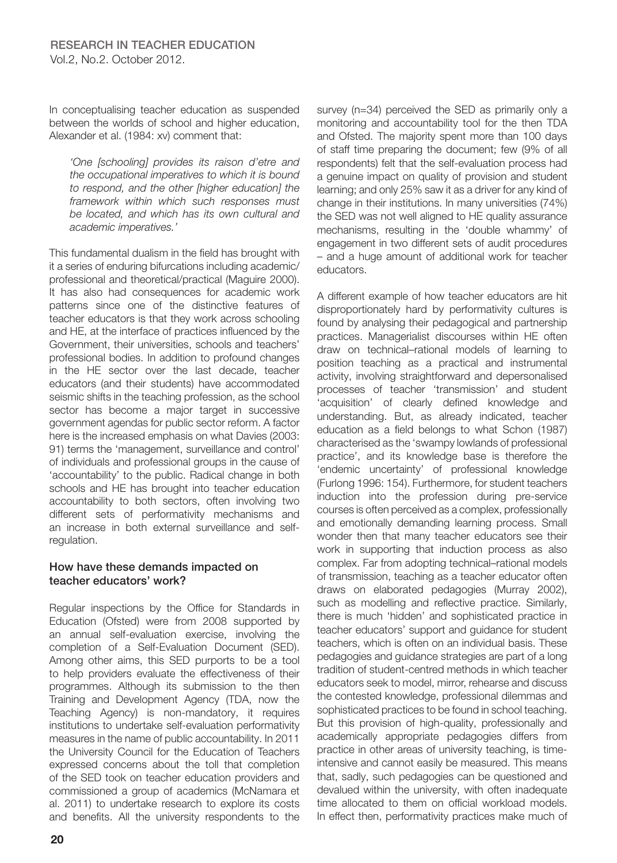In conceptualising teacher education as suspended between the worlds of school and higher education, Alexander et al. (1984: xv) comment that:

'One [schooling] provides its raison d'etre and the occupational imperatives to which it is bound to respond, and the other [higher education] the framework within which such responses must be located, and which has its own cultural and academic imperatives.'

This fundamental dualism in the field has brought with it a series of enduring bifurcations including academic/ professional and theoretical/practical (Maguire 2000). It has also had consequences for academic work patterns since one of the distinctive features of teacher educators is that they work across schooling and HE, at the interface of practices influenced by the Government, their universities, schools and teachers' professional bodies. In addition to profound changes in the HE sector over the last decade, teacher educators (and their students) have accommodated seismic shifts in the teaching profession, as the school sector has become a major target in successive government agendas for public sector reform. A factor here is the increased emphasis on what Davies (2003: 91) terms the 'management, surveillance and control' of individuals and professional groups in the cause of 'accountability' to the public. Radical change in both schools and HE has brought into teacher education accountability to both sectors, often involving two different sets of performativity mechanisms and an increase in both external surveillance and selfregulation.

# How have these demands impacted on teacher educators' work?

Regular inspections by the Office for Standards in Education (Ofsted) were from 2008 supported by an annual self-evaluation exercise, involving the completion of a Self-Evaluation Document (SED). Among other aims, this SED purports to be a tool to help providers evaluate the effectiveness of their programmes. Although its submission to the then Training and Development Agency (TDA, now the Teaching Agency) is non-mandatory, it requires institutions to undertake self-evaluation performativity measures in the name of public accountability. In 2011 the University Council for the Education of Teachers expressed concerns about the toll that completion of the SED took on teacher education providers and commissioned a group of academics (McNamara et al. 2011) to undertake research to explore its costs and benefits. All the university respondents to the

survey (n=34) perceived the SED as primarily only a monitoring and accountability tool for the then TDA and Ofsted. The majority spent more than 100 days of staff time preparing the document; few (9% of all respondents) felt that the self-evaluation process had a genuine impact on quality of provision and student learning; and only 25% saw it as a driver for any kind of change in their institutions. In many universities (74%) the SED was not well aligned to HE quality assurance mechanisms, resulting in the 'double whammy' of engagement in two different sets of audit procedures – and a huge amount of additional work for teacher educators.

A different example of how teacher educators are hit disproportionately hard by performativity cultures is found by analysing their pedagogical and partnership practices. Managerialist discourses within HE often draw on technical–rational models of learning to position teaching as a practical and instrumental activity, involving straightforward and depersonalised processes of teacher 'transmission' and student 'acquisition' of clearly defined knowledge and understanding. But, as already indicated, teacher education as a field belongs to what Schon (1987) characterised as the 'swampy lowlands of professional practice', and its knowledge base is therefore the 'endemic uncertainty' of professional knowledge (Furlong 1996: 154). Furthermore, for student teachers induction into the profession during pre-service courses is often perceived as a complex, professionally and emotionally demanding learning process. Small wonder then that many teacher educators see their work in supporting that induction process as also complex. Far from adopting technical–rational models of transmission, teaching as a teacher educator often draws on elaborated pedagogies (Murray 2002), such as modelling and reflective practice. Similarly, there is much 'hidden' and sophisticated practice in teacher educators' support and guidance for student teachers, which is often on an individual basis. These pedagogies and guidance strategies are part of a long tradition of student-centred methods in which teacher educators seek to model, mirror, rehearse and discuss the contested knowledge, professional dilemmas and sophisticated practices to be found in school teaching. But this provision of high-quality, professionally and academically appropriate pedagogies differs from practice in other areas of university teaching, is timeintensive and cannot easily be measured. This means that, sadly, such pedagogies can be questioned and devalued within the university, with often inadequate time allocated to them on official workload models. In effect then, performativity practices make much of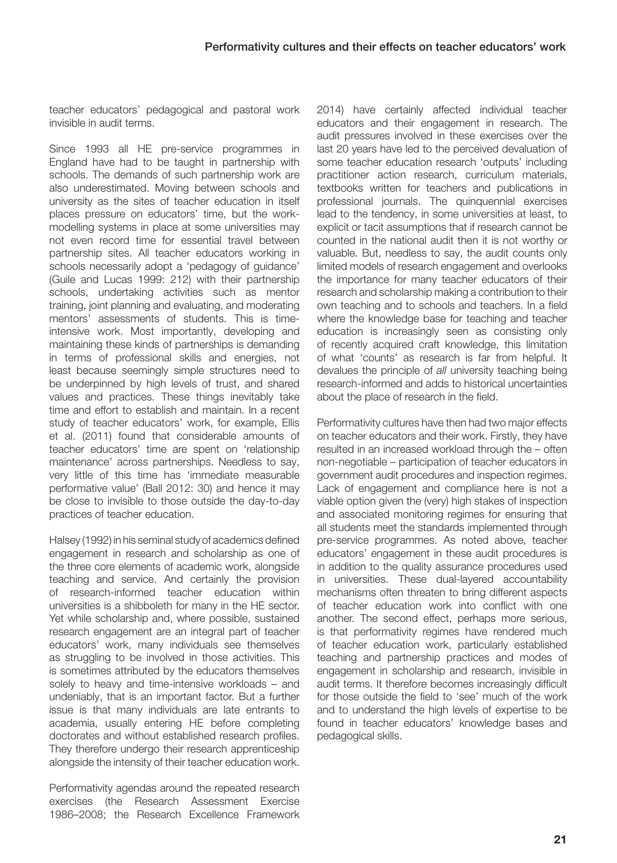teacher educators' pedagogical and pastoral work invisible in audit terms.

Since 1993 all HE pre-service programmes in England have had to be taught in partnership with schools. The demands of such partnership work are also underestimated. Moving between schools and university as the sites of teacher education in itself places pressure on educators' time, but the workmodelling systems in place at some universities may not even record time for essential travel between partnership sites. All teacher educators working in schools necessarily adopt a 'pedagogy of guidance' (Guile and Lucas 1999: 212) with their partnership schools, undertaking activities such as mentor training, joint planning and evaluating, and moderating mentors' assessments of students. This is timeintensive work. Most importantly, developing and maintaining these kinds of partnerships is demanding in terms of professional skills and energies, not least because seemingly simple structures need to be underpinned by high levels of trust, and shared values and practices. These things inevitably take time and effort to establish and maintain. In a recent study of teacher educators' work, for example, Ellis et al. (2011) found that considerable amounts of teacher educators' time are spent on 'relationship maintenance' across partnerships. Needless to say, very little of this time has 'immediate measurable performative value' (Ball 2012: 30) and hence it may be close to invisible to those outside the day-to-day practices of teacher education.

Halsey (1992) in his seminal study of academics defined engagement in research and scholarship as one of the three core elements of academic work, alongside teaching and service. And certainly the provision of research-informed teacher education within universities is a shibboleth for many in the HE sector. Yet while scholarship and, where possible, sustained research engagement are an integral part of teacher educators' work, many individuals see themselves as struggling to be involved in those activities. This is sometimes attributed by the educators themselves solely to heavy and time-intensive workloads – and undeniably, that is an important factor. But a further issue is that many individuals are late entrants to academia, usually entering HE before completing doctorates and without established research profiles. They therefore undergo their research apprenticeship alongside the intensity of their teacher education work.

Performativity agendas around the repeated research exercises (the Research Assessment Exercise 1986–2008; the Research Excellence Framework

2014) have certainly affected individual teacher educators and their engagement in research. The audit pressures involved in these exercises over the last 20 years have led to the perceived devaluation of some teacher education research 'outputs' including practitioner action research, curriculum materials, textbooks written for teachers and publications in professional journals. The quinquennial exercises lead to the tendency, in some universities at least, to explicit or tacit assumptions that if research cannot be counted in the national audit then it is not worthy or valuable. But, needless to say, the audit counts only limited models of research engagement and overlooks the importance for many teacher educators of their research and scholarship making a contribution to their own teaching and to schools and teachers. In a field where the knowledge base for teaching and teacher education is increasingly seen as consisting only of recently acquired craft knowledge, this limitation of what 'counts' as research is far from helpful. It devalues the principle of all university teaching being research-informed and adds to historical uncertainties about the place of research in the field.

Performativity cultures have then had two major effects on teacher educators and their work. Firstly, they have resulted in an increased workload through the – often non-negotiable – participation of teacher educators in government audit procedures and inspection regimes. Lack of engagement and compliance here is not a viable option given the (very) high stakes of inspection and associated monitoring regimes for ensuring that all students meet the standards implemented through pre-service programmes. As noted above, teacher educators' engagement in these audit procedures is in addition to the quality assurance procedures used in universities. These dual-layered accountability mechanisms often threaten to bring different aspects of teacher education work into conflict with one another. The second effect, perhaps more serious, is that performativity regimes have rendered much of teacher education work, particularly established teaching and partnership practices and modes of engagement in scholarship and research, invisible in audit terms. It therefore becomes increasingly difficult for those outside the field to 'see' much of the work and to understand the high levels of expertise to be found in teacher educators' knowledge bases and pedagogical skills.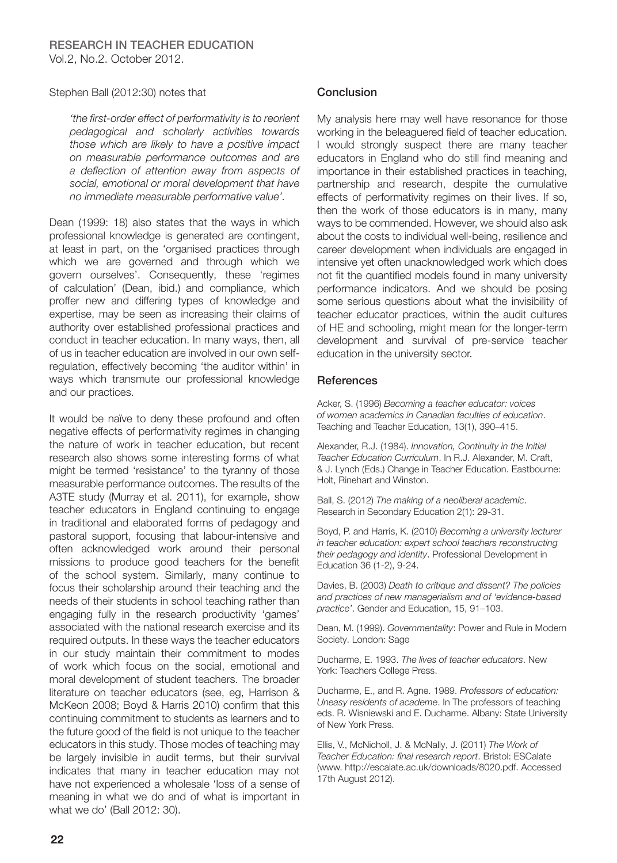#### Stephen Ball (2012:30) notes that

'the first-order effect of performativity is to reorient pedagogical and scholarly activities towards those which are likely to have a positive impact on measurable performance outcomes and are a deflection of attention away from aspects of social, emotional or moral development that have no immediate measurable performative value'.

Dean (1999: 18) also states that the ways in which professional knowledge is generated are contingent. at least in part, on the 'organised practices through which we are governed and through which we govern ourselves'. Consequently, these 'regimes of calculation' (Dean, ibid.) and compliance, which proffer new and differing types of knowledge and expertise, may be seen as increasing their claims of authority over established professional practices and conduct in teacher education. In many ways, then, all of us in teacher education are involved in our own selfregulation, effectively becoming 'the auditor within' in ways which transmute our professional knowledge and our practices.

It would be naïve to deny these profound and often negative effects of performativity regimes in changing the nature of work in teacher education, but recent research also shows some interesting forms of what might be termed 'resistance' to the tyranny of those measurable performance outcomes. The results of the A3TE study (Murray et al. 2011), for example, show teacher educators in England continuing to engage in traditional and elaborated forms of pedagogy and pastoral support, focusing that labour-intensive and often acknowledged work around their personal missions to produce good teachers for the benefit of the school system. Similarly, many continue to focus their scholarship around their teaching and the needs of their students in school teaching rather than engaging fully in the research productivity 'games' associated with the national research exercise and its required outputs. In these ways the teacher educators in our study maintain their commitment to modes of work which focus on the social, emotional and moral development of student teachers. The broader literature on teacher educators (see, eg, Harrison & McKeon 2008; Boyd & Harris 2010) confirm that this continuing commitment to students as learners and to the future good of the field is not unique to the teacher educators in this study. Those modes of teaching may be largely invisible in audit terms, but their survival indicates that many in teacher education may not have not experienced a wholesale 'loss of a sense of meaning in what we do and of what is important in what we do' (Ball 2012: 30).

## Conclusion

My analysis here may well have resonance for those working in the beleaguered field of teacher education. I would strongly suspect there are many teacher educators in England who do still find meaning and importance in their established practices in teaching, partnership and research, despite the cumulative effects of performativity regimes on their lives. If so, then the work of those educators is in many, many ways to be commended. However, we should also ask about the costs to individual well-being, resilience and career development when individuals are engaged in intensive yet often unacknowledged work which does not fit the quantified models found in many university performance indicators. And we should be posing some serious questions about what the invisibility of teacher educator practices, within the audit cultures of HE and schooling, might mean for the longer-term development and survival of pre-service teacher education in the university sector.

## **References**

Acker, S. (1996) Becoming a teacher educator: voices of women academics in Canadian faculties of education. Teaching and Teacher Education, 13(1), 390–415.

Alexander, R.J. (1984). Innovation, Continuity in the Initial Teacher Education Curriculum. In R.J. Alexander, M. Craft, & J. Lynch (Eds.) Change in Teacher Education. Eastbourne: Holt, Rinehart and Winston.

Ball, S. (2012) The making of a neoliberal academic. Research in Secondary Education 2(1): 29-31.

Boyd, P. and Harris, K. (2010) Becoming a university lecturer in teacher education: expert school teachers reconstructing their pedagogy and identity. Professional Development in Education 36 (1-2), 9-24.

Davies, B. (2003) Death to critique and dissent? The policies and practices of new managerialism and of 'evidence-based practice'. Gender and Education, 15, 91–103.

Dean, M. (1999). Governmentality: Power and Rule in Modern Society. London: Sage

Ducharme, E. 1993. The lives of teacher educators. New York: Teachers College Press.

Ducharme, E., and R. Agne. 1989. Professors of education: Uneasy residents of academe. In The professors of teaching eds. R. Wisniewski and E. Ducharme. Albany: State University of New York Press.

Ellis, V., McNicholl, J. & McNally, J. (2011) The Work of Teacher Education: final research report. Bristol: ESCalate (www. http://escalate.ac.uk/downloads/8020.pdf. Accessed 17th August 2012).